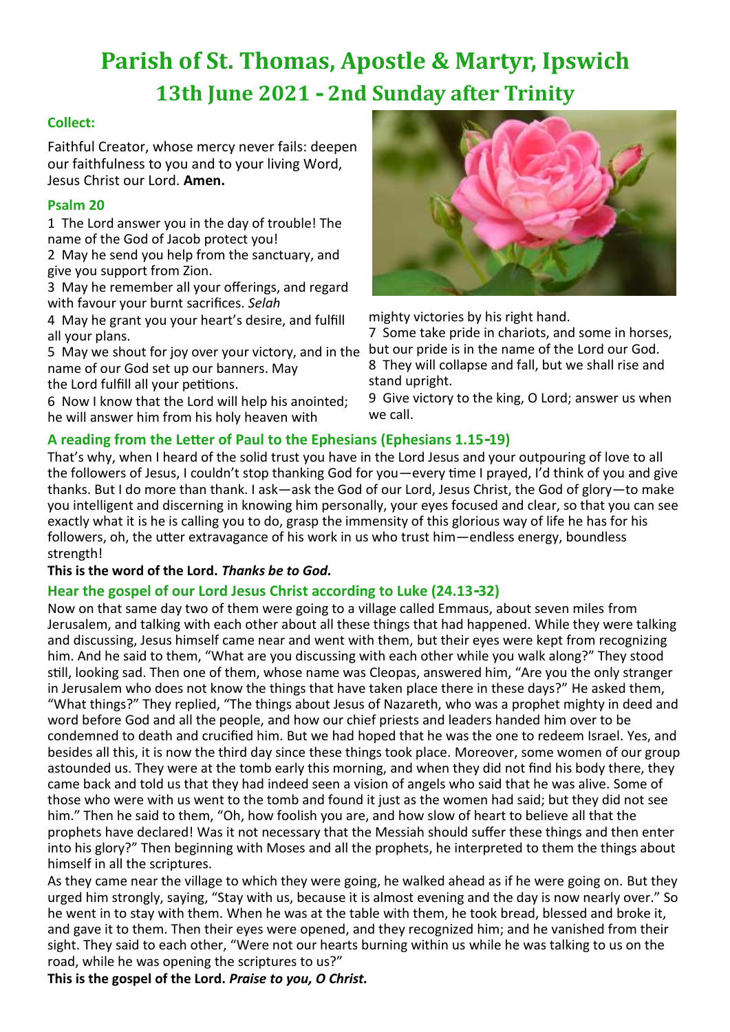# **Parish of St. Thomas, Apostle & Martyr, Ipswich 13th June 2021 - 2nd Sunday after Trinity**

## **Collect:**

Faithful Creator, whose mercy never fails: deepen our faithfulness to you and to your living Word, Jesus Christ our Lord. **Amen.**

## **Psalm 20**

1 The Lord answer you in the day of trouble! The name of the God of Jacob protect you!

2 May he send you help from the sanctuary, and give you support from Zion.

3 May he remember all your offerings, and regard with favour your burnt sacrifices. *Selah*

4 May he grant you your heart's desire, and fulfill all your plans.

5 May we shout for joy over your victory, and in the name of our God set up our banners. May the Lord fulfill all your petitions.

6 Now I know that the Lord will help his anointed; he will answer him from his holy heaven with



mighty victories by his right hand.

7 Some take pride in chariots, and some in horses, but our pride is in the name of the Lord our God. 8 They will collapse and fall, but we shall rise and stand upright.

9 Give victory to the king, O Lord; answer us when we call.

# **A reading from the Letter of Paul to the Ephesians (Ephesians 1.15-19)**

That's why, when I heard of the solid trust you have in the Lord Jesus and your outpouring of love to all the followers of Jesus, I couldn't stop thanking God for you—every time I prayed, I'd think of you and give thanks. But I do more than thank. I ask—ask the God of our Lord, Jesus Christ, the God of glory—to make you intelligent and discerning in knowing him personally, your eyes focused and clear, so that you can see exactly what it is he is calling you to do, grasp the immensity of this glorious way of life he has for his followers, oh, the utter extravagance of his work in us who trust him—endless energy, boundless strength!

## **This is the word of the Lord.** *Thanks be to God.*

## **Hear the gospel of our Lord Jesus Christ according to Luke (24.13-32)**

Now on that same day two of them were going to a village called Emmaus, about seven miles from Jerusalem, and talking with each other about all these things that had happened. While they were talking and discussing, Jesus himself came near and went with them, but their eyes were kept from recognizing him. And he said to them, "What are you discussing with each other while you walk along?" They stood still, looking sad. Then one of them, whose name was Cleopas, answered him, "Are you the only stranger in Jerusalem who does not know the things that have taken place there in these days?" He asked them, "What things?" They replied, "The things about Jesus of Nazareth, who was a prophet mighty in deed and word before God and all the people, and how our chief priests and leaders handed him over to be condemned to death and crucified him. But we had hoped that he was the one to redeem Israel. Yes, and besides all this, it is now the third day since these things took place. Moreover, some women of our group astounded us. They were at the tomb early this morning, and when they did not find his body there, they came back and told us that they had indeed seen a vision of angels who said that he was alive. Some of those who were with us went to the tomb and found it just as the women had said; but they did not see him." Then he said to them, "Oh, how foolish you are, and how slow of heart to believe all that the prophets have declared! Was it not necessary that the Messiah should suffer these things and then enter into his glory?" Then beginning with Moses and all the prophets, he interpreted to them the things about himself in all the scriptures.

As they came near the village to which they were going, he walked ahead as if he were going on. But they urged him strongly, saying, "Stay with us, because it is almost evening and the day is now nearly over." So he went in to stay with them. When he was at the table with them, he took bread, blessed and broke it, and gave it to them. Then their eyes were opened, and they recognized him; and he vanished from their sight. They said to each other, "Were not our hearts burning within us while he was talking to us on the road, while he was opening the scriptures to us?"

**This is the gospel of the Lord.** *Praise to you, O Christ.*